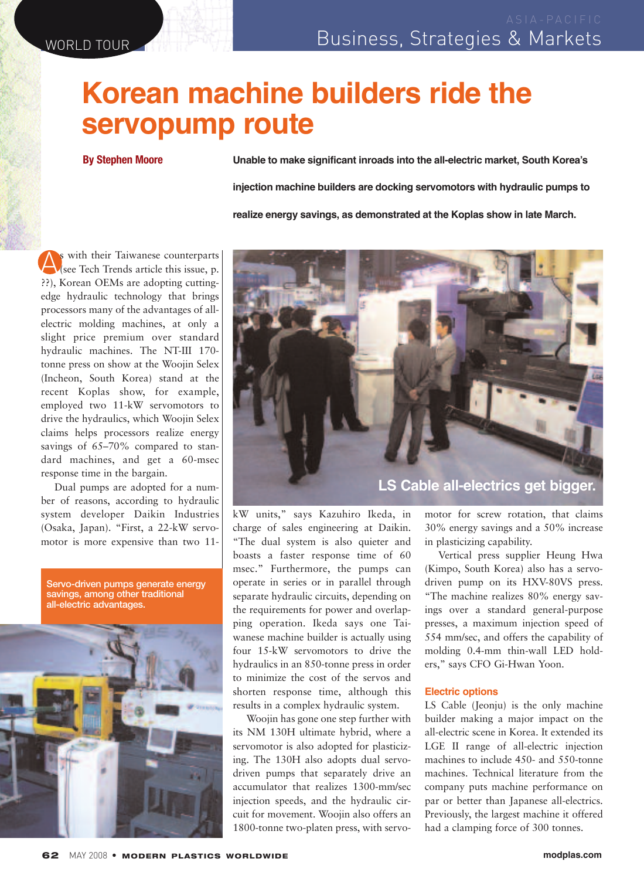## **Korean machine builders ride the servopump route**

**By Stephen Moore**

**Unable to make significant inroads into the all-electric market, South Korea's injection machine builders are docking servomotors with hydraulic pumps to realize energy savings, as demonstrated at the Koplas show in late March.**

A<sup>s</sup> with their Taiwanese counterparts (see Tech Trends article this issue, p. ??), Korean OEMs are adopting cuttingedge hydraulic technology that brings processors many of the advantages of allelectric molding machines, at only a slight price premium over standard hydraulic machines. The NT-III 170 tonne press on show at the Woojin Selex (Incheon, South Korea) stand at the recent Koplas show, for example, employed two 11-kW servomotors to drive the hydraulics, which Woojin Selex claims helps processors realize energy savings of 65–70% compared to standard machines, and get a 60-msec response time in the bargain.

Dual pumps are adopted for a number of reasons, according to hydraulic system developer Daikin Industries (Osaka, Japan). "First, a 22-kW servomotor is more expensive than two 11-

Servo-driven pumps generate energy savings, among other traditional all-electric advantages.





kW units," says Kazuhiro Ikeda, in charge of sales engineering at Daikin. "The dual system is also quieter and boasts a faster response time of 60 msec." Furthermore, the pumps can operate in series or in parallel through separate hydraulic circuits, depending on the requirements for power and overlapping operation. Ikeda says one Taiwanese machine builder is actually using four 15-kW servomotors to drive the hydraulics in an 850-tonne press in order to minimize the cost of the servos and shorten response time, although this results in a complex hydraulic system.

Woojin has gone one step further with its NM 130H ultimate hybrid, where a servomotor is also adopted for plasticizing. The 130H also adopts dual servodriven pumps that separately drive an accumulator that realizes 1300-mm/sec injection speeds, and the hydraulic circuit for movement. Woojin also offers an 1800-tonne two-platen press, with servomotor for screw rotation, that claims 30% energy savings and a 50% increase in plasticizing capability.

Vertical press supplier Heung Hwa (Kimpo, South Korea) also has a servodriven pump on its HXV-80VS press. "The machine realizes 80% energy savings over a standard general-purpose presses, a maximum injection speed of 554 mm/sec, and offers the capability of molding 0.4-mm thin-wall LED holders," says CFO Gi-Hwan Yoon.

## **Electric options**

LS Cable (Jeonju) is the only machine builder making a major impact on the all-electric scene in Korea. It extended its LGE II range of all-electric injection machines to include 450- and 550-tonne machines. Technical literature from the company puts machine performance on par or better than Japanese all-electrics. Previously, the largest machine it offered had a clamping force of 300 tonnes.